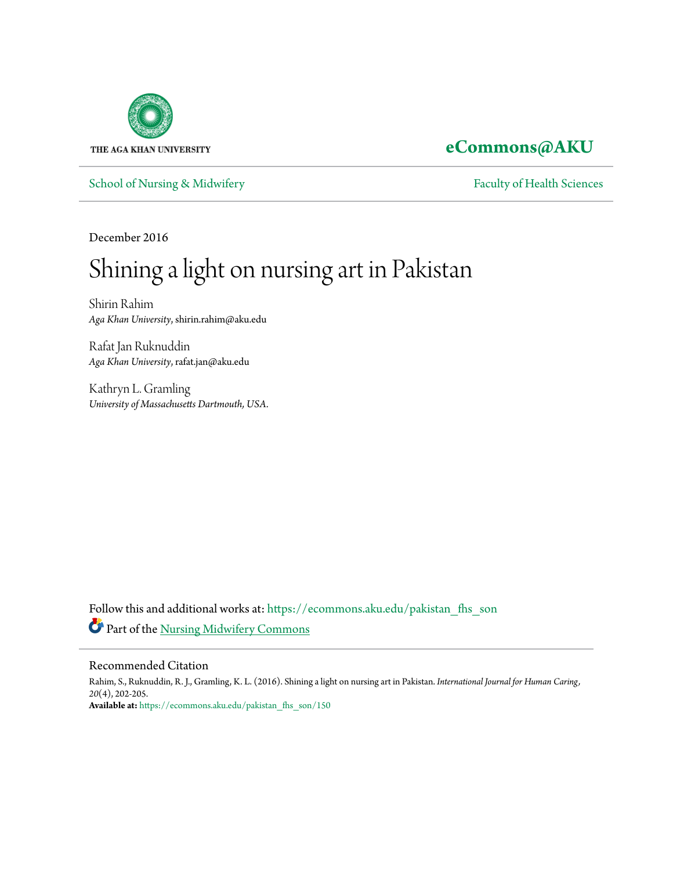

# **[eCommons@AKU](https://ecommons.aku.edu?utm_source=ecommons.aku.edu%2Fpakistan_fhs_son%2F150&utm_medium=PDF&utm_campaign=PDFCoverPages)**

[School of Nursing & Midwifery](https://ecommons.aku.edu/pakistan_fhs_son?utm_source=ecommons.aku.edu%2Fpakistan_fhs_son%2F150&utm_medium=PDF&utm_campaign=PDFCoverPages) [Faculty of Health Sciences](https://ecommons.aku.edu/pakistan_fhs?utm_source=ecommons.aku.edu%2Fpakistan_fhs_son%2F150&utm_medium=PDF&utm_campaign=PDFCoverPages)

December 2016

# Shining a light on nursing art in Pakistan

Shirin Rahim *Aga Khan University*, shirin.rahim@aku.edu

Rafat Jan Ruknuddin *Aga Khan University*, rafat.jan@aku.edu

Kathryn L. Gramling *University of Massachusetts Dartmouth, USA.*

Follow this and additional works at: [https://ecommons.aku.edu/pakistan\\_fhs\\_son](https://ecommons.aku.edu/pakistan_fhs_son?utm_source=ecommons.aku.edu%2Fpakistan_fhs_son%2F150&utm_medium=PDF&utm_campaign=PDFCoverPages) Part of the [Nursing Midwifery Commons](http://network.bepress.com/hgg/discipline/722?utm_source=ecommons.aku.edu%2Fpakistan_fhs_son%2F150&utm_medium=PDF&utm_campaign=PDFCoverPages)

## Recommended Citation

Rahim, S., Ruknuddin, R. J., Gramling, K. L. (2016). Shining a light on nursing art in Pakistan. *International Journal for Human Caring, 20*(4), 202-205. **Available at:** [https://ecommons.aku.edu/pakistan\\_fhs\\_son/150](https://ecommons.aku.edu/pakistan_fhs_son/150)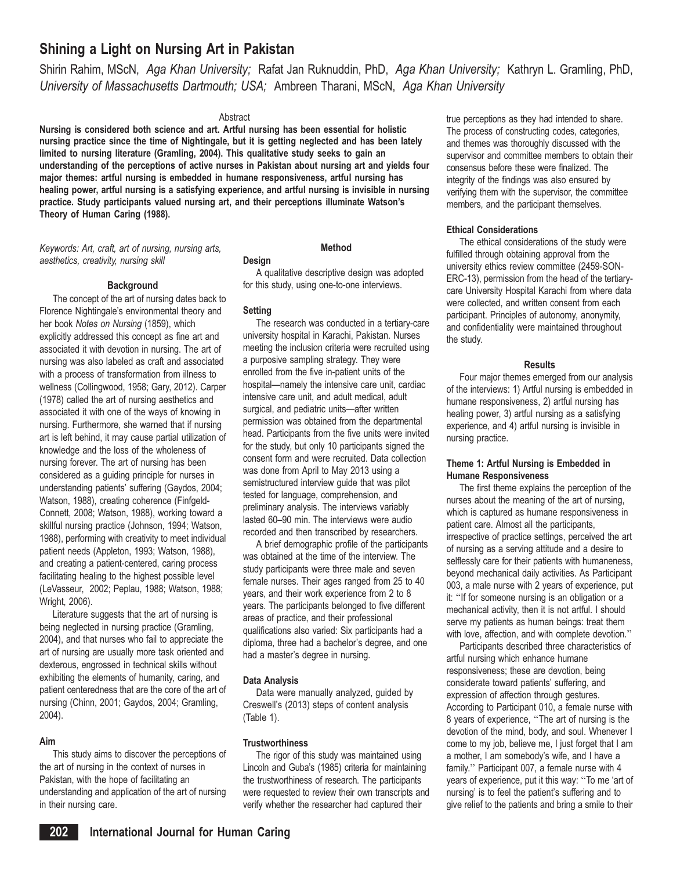## Shining a Light on Nursing Art in Pakistan

Shirin Rahim, MScN, Aga Khan University; Rafat Jan Ruknuddin, PhD, Aga Khan University; Kathryn L. Gramling, PhD, University of Massachusetts Dartmouth; USA; Ambreen Tharani, MScN, Aga Khan University

#### Abstract

Nursing is considered both science and art. Artful nursing has been essential for holistic nursing practice since the time of Nightingale, but it is getting neglected and has been lately limited to nursing literature (Gramling, 2004). This qualitative study seeks to gain an understanding of the perceptions of active nurses in Pakistan about nursing art and yields four major themes: artful nursing is embedded in humane responsiveness, artful nursing has healing power, artful nursing is a satisfying experience, and artful nursing is invisible in nursing practice. Study participants valued nursing art, and their perceptions illuminate Watson's Theory of Human Caring (1988).

Keywords: Art, craft, art of nursing, nursing arts, aesthetics, creativity, nursing skill

#### **Background**

The concept of the art of nursing dates back to Florence Nightingale's environmental theory and her book Notes on Nursing (1859), which explicitly addressed this concept as fine art and associated it with devotion in nursing. The art of nursing was also labeled as craft and associated with a process of transformation from illness to wellness (Collingwood, 1958; Gary, 2012). Carper (1978) called the art of nursing aesthetics and associated it with one of the ways of knowing in nursing. Furthermore, she warned that if nursing art is left behind, it may cause partial utilization of knowledge and the loss of the wholeness of nursing forever. The art of nursing has been considered as a guiding principle for nurses in understanding patients' suffering (Gaydos, 2004; Watson, 1988), creating coherence (Finfgeld-Connett, 2008; Watson, 1988), working toward a skillful nursing practice (Johnson, 1994; Watson, 1988), performing with creativity to meet individual patient needs (Appleton, 1993; Watson, 1988), and creating a patient-centered, caring process facilitating healing to the highest possible level (LeVasseur, 2002; Peplau, 1988; Watson, 1988; Wright, 2006).

Literature suggests that the art of nursing is being neglected in nursing practice (Gramling, 2004), and that nurses who fail to appreciate the art of nursing are usually more task oriented and dexterous, engrossed in technical skills without exhibiting the elements of humanity, caring, and patient centeredness that are the core of the art of nursing (Chinn, 2001; Gaydos, 2004; Gramling, 2004).

#### Aim

This study aims to discover the perceptions of the art of nursing in the context of nurses in Pakistan, with the hope of facilitating an understanding and application of the art of nursing in their nursing care.

### Method

#### Design

A qualitative descriptive design was adopted for this study, using one-to-one interviews.

#### **Setting**

The research was conducted in a tertiary-care university hospital in Karachi, Pakistan. Nurses meeting the inclusion criteria were recruited using a purposive sampling strategy. They were enrolled from the five in-patient units of the hospital—namely the intensive care unit, cardiac intensive care unit, and adult medical, adult surgical, and pediatric units—after written permission was obtained from the departmental head. Participants from the five units were invited for the study, but only 10 participants signed the consent form and were recruited. Data collection was done from April to May 2013 using a semistructured interview guide that was pilot tested for language, comprehension, and preliminary analysis. The interviews variably lasted 60–90 min. The interviews were audio recorded and then transcribed by researchers.

A brief demographic profile of the participants was obtained at the time of the interview. The study participants were three male and seven female nurses. Their ages ranged from 25 to 40 years, and their work experience from 2 to 8 years. The participants belonged to five different areas of practice, and their professional qualifications also varied: Six participants had a diploma, three had a bachelor's degree, and one had a master's degree in nursing.

#### Data Analysis

Data were manually analyzed, guided by Creswell's (2013) steps of content analysis (Table 1).

#### **Trustworthiness**

The rigor of this study was maintained using Lincoln and Guba's (1985) criteria for maintaining the trustworthiness of research. The participants were requested to review their own transcripts and verify whether the researcher had captured their

true perceptions as they had intended to share. The process of constructing codes, categories, and themes was thoroughly discussed with the supervisor and committee members to obtain their consensus before these were finalized. The integrity of the findings was also ensured by verifying them with the supervisor, the committee members, and the participant themselves.

#### Ethical Considerations

The ethical considerations of the study were fulfilled through obtaining approval from the university ethics review committee (2459-SON-ERC-13), permission from the head of the tertiarycare University Hospital Karachi from where data were collected, and written consent from each participant. Principles of autonomy, anonymity, and confidentiality were maintained throughout the study.

#### **Results**

Four major themes emerged from our analysis of the interviews: 1) Artful nursing is embedded in humane responsiveness, 2) artful nursing has healing power, 3) artful nursing as a satisfying experience, and 4) artful nursing is invisible in nursing practice.

#### Theme 1: Artful Nursing is Embedded in Humane Responsiveness

The first theme explains the perception of the nurses about the meaning of the art of nursing, which is captured as humane responsiveness in patient care. Almost all the participants, irrespective of practice settings, perceived the art of nursing as a serving attitude and a desire to selflessly care for their patients with humaneness, beyond mechanical daily activities. As Participant 003, a male nurse with 2 years of experience, put it: ''If for someone nursing is an obligation or a mechanical activity, then it is not artful. I should serve my patients as human beings: treat them with love, affection, and with complete devotion.''

Participants described three characteristics of artful nursing which enhance humane responsiveness; these are devotion, being considerate toward patients' suffering, and expression of affection through gestures. According to Participant 010, a female nurse with 8 years of experience, ''The art of nursing is the devotion of the mind, body, and soul. Whenever I come to my job, believe me, I just forget that I am a mother, I am somebody's wife, and I have a family.'' Participant 007, a female nurse with 4 years of experience, put it this way: ''To me 'art of nursing' is to feel the patient's suffering and to give relief to the patients and bring a smile to their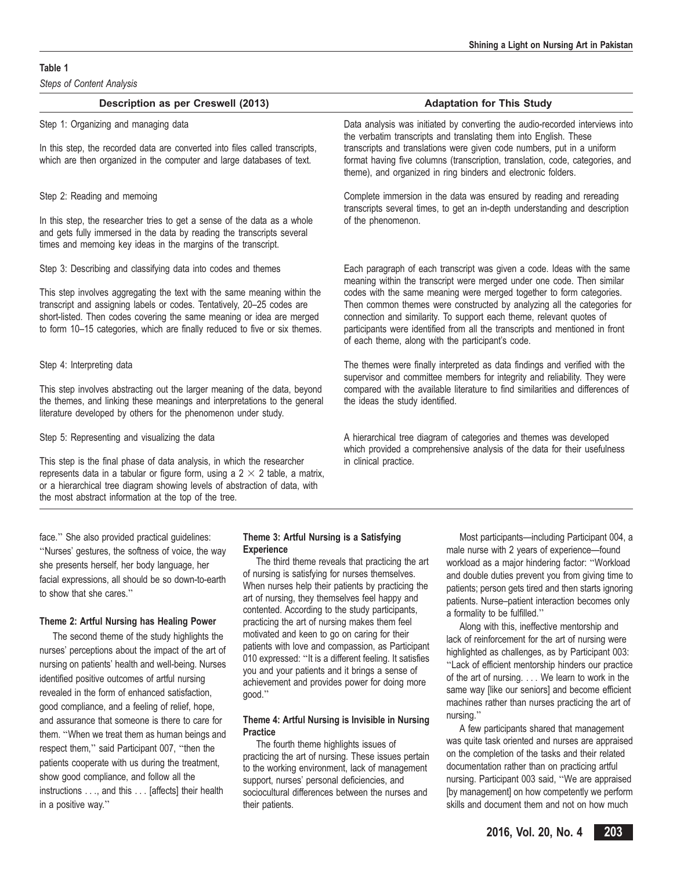#### Table 1

Steps of Content Analysis

#### Description as per Creswell (2013) Description as per Creswell (2013) Step 1: Organizing and managing data **Data Analysis was initiated by converting the audio-recorded interviews into** the verbatim transcripts and translating them into English. These transcripts and translations were given code numbers, put in a uniform format having five columns (transcription, translation, code, categories, and In this step, the recorded data are converted into files called transcripts, which are then organized in the computer and large databases of text.

In this step, the researcher tries to get a sense of the data as a whole of the phenomenon. and gets fully immersed in the data by reading the transcripts several times and memoing key ideas in the margins of the transcript.

This step involves aggregating the text with the same meaning within the transcript and assigning labels or codes. Tentatively, 20–25 codes are short-listed. Then codes covering the same meaning or idea are merged to form 10–15 categories, which are finally reduced to five or six themes.

This step involves abstracting out the larger meaning of the data, beyond the themes, and linking these meanings and interpretations to the general literature developed by others for the phenomenon under study.

This step is the final phase of data analysis, in which the researcher in clinical practice. represents data in a tabular or figure form, using a  $2 \times 2$  table, a matrix, or a hierarchical tree diagram showing levels of abstraction of data, with the most abstract information at the top of the tree.

theme), and organized in ring binders and electronic folders.

Step 2: Reading and memoing Complete immersion in the data was ensured by reading and rereading transcripts several times, to get an in-depth understanding and description

Step 3: Describing and classifying data into codes and themes Each paragraph of each transcript was given a code. Ideas with the same meaning within the transcript were merged under one code. Then similar codes with the same meaning were merged together to form categories. Then common themes were constructed by analyzing all the categories for connection and similarity. To support each theme, relevant quotes of participants were identified from all the transcripts and mentioned in front of each theme, along with the participant's code.

Step 4: Interpreting data The themes were finally interpreted as data findings and verified with the supervisor and committee members for integrity and reliability. They were compared with the available literature to find similarities and differences of the ideas the study identified.

Step 5: Representing and visualizing the data A hierarchical tree diagram of categories and themes was developed which provided a comprehensive analysis of the data for their usefulness

face.'' She also provided practical guidelines: ''Nurses' gestures, the softness of voice, the way she presents herself, her body language, her facial expressions, all should be so down-to-earth to show that she cares.''

#### Theme 2: Artful Nursing has Healing Power

The second theme of the study highlights the nurses' perceptions about the impact of the art of nursing on patients' health and well-being. Nurses identified positive outcomes of artful nursing revealed in the form of enhanced satisfaction, good compliance, and a feeling of relief, hope, and assurance that someone is there to care for them. ''When we treat them as human beings and respect them," said Participant 007, "then the patients cooperate with us during the treatment, show good compliance, and follow all the instructions ..., and this ... [affects] their health in a positive way.''

#### Theme 3: Artful Nursing is a Satisfying **Experience**

The third theme reveals that practicing the art of nursing is satisfying for nurses themselves. When nurses help their patients by practicing the art of nursing, they themselves feel happy and contented. According to the study participants, practicing the art of nursing makes them feel motivated and keen to go on caring for their patients with love and compassion, as Participant 010 expressed: ''It is a different feeling. It satisfies you and your patients and it brings a sense of achievement and provides power for doing more good.''

#### Theme 4: Artful Nursing is Invisible in Nursing **Practice**

The fourth theme highlights issues of practicing the art of nursing. These issues pertain to the working environment, lack of management support, nurses' personal deficiencies, and sociocultural differences between the nurses and their patients.

Most participants—including Participant 004, a male nurse with 2 years of experience—found workload as a major hindering factor: ''Workload and double duties prevent you from giving time to patients; person gets tired and then starts ignoring patients. Nurse–patient interaction becomes only a formality to be fulfilled.''

Along with this, ineffective mentorship and lack of reinforcement for the art of nursing were highlighted as challenges, as by Participant 003: ''Lack of efficient mentorship hinders our practice of the art of nursing. ... We learn to work in the same way [like our seniors] and become efficient machines rather than nurses practicing the art of nursing.''

A few participants shared that management was quite task oriented and nurses are appraised on the completion of the tasks and their related documentation rather than on practicing artful nursing. Participant 003 said, ''We are appraised [by management] on how competently we perform skills and document them and not on how much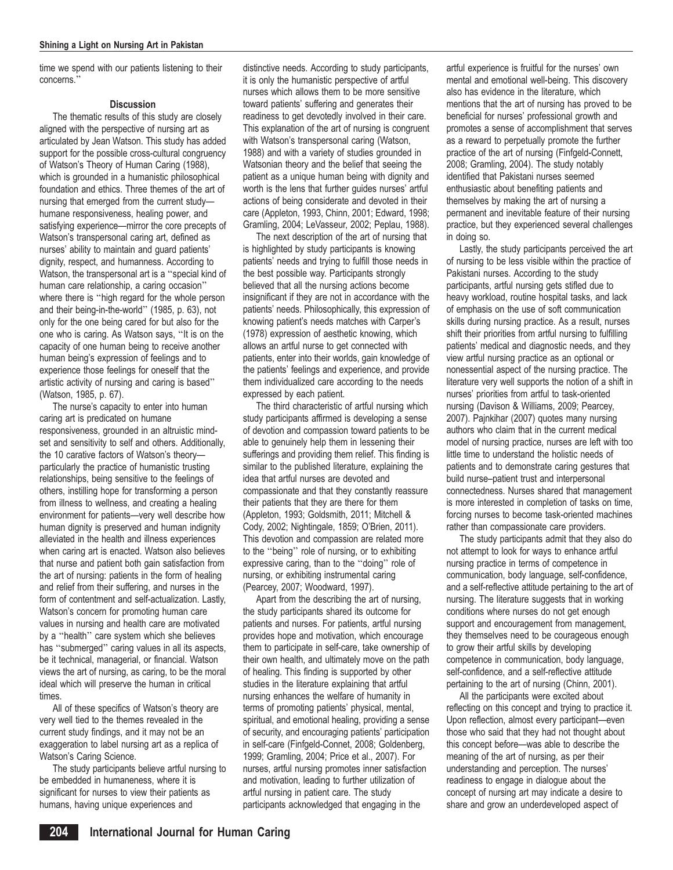time we spend with our patients listening to their concerns.''

#### **Discussion**

The thematic results of this study are closely aligned with the perspective of nursing art as articulated by Jean Watson. This study has added support for the possible cross-cultural congruency of Watson's Theory of Human Caring (1988), which is grounded in a humanistic philosophical foundation and ethics. Three themes of the art of nursing that emerged from the current study humane responsiveness, healing power, and satisfying experience—mirror the core precepts of Watson's transpersonal caring art, defined as nurses' ability to maintain and guard patients' dignity, respect, and humanness. According to Watson, the transpersonal art is a ''special kind of human care relationship, a caring occasion'' where there is ''high regard for the whole person and their being-in-the-world'' (1985, p. 63), not only for the one being cared for but also for the one who is caring. As Watson says, ''It is on the capacity of one human being to receive another human being's expression of feelings and to experience those feelings for oneself that the artistic activity of nursing and caring is based'' (Watson, 1985, p. 67).

The nurse's capacity to enter into human caring art is predicated on humane responsiveness, grounded in an altruistic mindset and sensitivity to self and others. Additionally, the 10 carative factors of Watson's theory particularly the practice of humanistic trusting relationships, being sensitive to the feelings of others, instilling hope for transforming a person from illness to wellness, and creating a healing environment for patients—very well describe how human dignity is preserved and human indignity alleviated in the health and illness experiences when caring art is enacted. Watson also believes that nurse and patient both gain satisfaction from the art of nursing: patients in the form of healing and relief from their suffering, and nurses in the form of contentment and self-actualization. Lastly, Watson's concern for promoting human care values in nursing and health care are motivated by a ''health'' care system which she believes has ''submerged'' caring values in all its aspects, be it technical, managerial, or financial. Watson views the art of nursing, as caring, to be the moral ideal which will preserve the human in critical times.

All of these specifics of Watson's theory are very well tied to the themes revealed in the current study findings, and it may not be an exaggeration to label nursing art as a replica of Watson's Caring Science.

The study participants believe artful nursing to be embedded in humaneness, where it is significant for nurses to view their patients as humans, having unique experiences and

distinctive needs. According to study participants, it is only the humanistic perspective of artful nurses which allows them to be more sensitive toward patients' suffering and generates their readiness to get devotedly involved in their care. This explanation of the art of nursing is congruent with Watson's transpersonal caring (Watson, 1988) and with a variety of studies grounded in Watsonian theory and the belief that seeing the patient as a unique human being with dignity and worth is the lens that further guides nurses' artful actions of being considerate and devoted in their care (Appleton, 1993, Chinn, 2001; Edward, 1998; Gramling, 2004; LeVasseur, 2002; Peplau, 1988).

The next description of the art of nursing that is highlighted by study participants is knowing patients' needs and trying to fulfill those needs in the best possible way. Participants strongly believed that all the nursing actions become insignificant if they are not in accordance with the patients' needs. Philosophically, this expression of knowing patient's needs matches with Carper's (1978) expression of aesthetic knowing, which allows an artful nurse to get connected with patients, enter into their worlds, gain knowledge of the patients' feelings and experience, and provide them individualized care according to the needs expressed by each patient.

The third characteristic of artful nursing which study participants affirmed is developing a sense of devotion and compassion toward patients to be able to genuinely help them in lessening their sufferings and providing them relief. This finding is similar to the published literature, explaining the idea that artful nurses are devoted and compassionate and that they constantly reassure their patients that they are there for them (Appleton, 1993; Goldsmith, 2011; Mitchell & Cody, 2002; Nightingale, 1859; O'Brien, 2011). This devotion and compassion are related more to the ''being'' role of nursing, or to exhibiting expressive caring, than to the ''doing'' role of nursing, or exhibiting instrumental caring (Pearcey, 2007; Woodward, 1997).

Apart from the describing the art of nursing, the study participants shared its outcome for patients and nurses. For patients, artful nursing provides hope and motivation, which encourage them to participate in self-care, take ownership of their own health, and ultimately move on the path of healing. This finding is supported by other studies in the literature explaining that artful nursing enhances the welfare of humanity in terms of promoting patients' physical, mental, spiritual, and emotional healing, providing a sense of security, and encouraging patients' participation in self-care (Finfgeld-Connet, 2008; Goldenberg, 1999; Gramling, 2004; Price et al., 2007). For nurses, artful nursing promotes inner satisfaction and motivation, leading to further utilization of artful nursing in patient care. The study participants acknowledged that engaging in the

artful experience is fruitful for the nurses' own mental and emotional well-being. This discovery also has evidence in the literature, which mentions that the art of nursing has proved to be beneficial for nurses' professional growth and promotes a sense of accomplishment that serves as a reward to perpetually promote the further practice of the art of nursing (Finfgeld-Connett, 2008; Gramling, 2004). The study notably identified that Pakistani nurses seemed enthusiastic about benefiting patients and themselves by making the art of nursing a permanent and inevitable feature of their nursing practice, but they experienced several challenges in doing so.

Lastly, the study participants perceived the art of nursing to be less visible within the practice of Pakistani nurses. According to the study participants, artful nursing gets stifled due to heavy workload, routine hospital tasks, and lack of emphasis on the use of soft communication skills during nursing practice. As a result, nurses shift their priorities from artful nursing to fulfilling patients' medical and diagnostic needs, and they view artful nursing practice as an optional or nonessential aspect of the nursing practice. The literature very well supports the notion of a shift in nurses' priorities from artful to task-oriented nursing (Davison & Williams, 2009; Pearcey, 2007). Pajnkihar (2007) quotes many nursing authors who claim that in the current medical model of nursing practice, nurses are left with too little time to understand the holistic needs of patients and to demonstrate caring gestures that build nurse–patient trust and interpersonal connectedness. Nurses shared that management is more interested in completion of tasks on time, forcing nurses to become task-oriented machines rather than compassionate care providers.

The study participants admit that they also do not attempt to look for ways to enhance artful nursing practice in terms of competence in communication, body language, self-confidence, and a self-reflective attitude pertaining to the art of nursing. The literature suggests that in working conditions where nurses do not get enough support and encouragement from management, they themselves need to be courageous enough to grow their artful skills by developing competence in communication, body language, self-confidence, and a self-reflective attitude pertaining to the art of nursing (Chinn, 2001).

All the participants were excited about reflecting on this concept and trying to practice it. Upon reflection, almost every participant—even those who said that they had not thought about this concept before—was able to describe the meaning of the art of nursing, as per their understanding and perception. The nurses' readiness to engage in dialogue about the concept of nursing art may indicate a desire to share and grow an underdeveloped aspect of